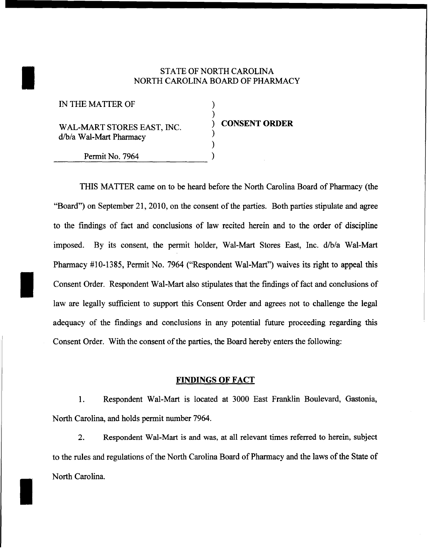## STATE OF NORTH CAROLINA<br>NORTH CAROLINA BOARD OF PHAR NORTH CAROLINA BOARD OF PHARMACY

| IN THE MATTER OF                                      |                      |
|-------------------------------------------------------|----------------------|
| WAL-MART STORES EAST, INC.<br>d/b/a Wal-Mart Pharmacy | <b>CONSENT ORDER</b> |
| Permit No. 7964                                       |                      |
|                                                       |                      |

THIS MATTER came on to be heard before the North Carolina Board of Pharmacy (the "Board") on September 21, 2010, on the consent of the parties. Both parties stipulate and agree to the findings of fact and conclusions of law recited herein and to the order of discipline imposed. By its consent, the permit holder, Wal-Mart Stores East, Inc. d/b/a Wal-Mart Pharmacy #10-1385, Permit No. 7964 ("Respondent Wal-Mart") waives its right to appeal this Consent Order. Respondent Wal-Mart also stipulates that the findings of fact and conclusions of law are legally sufficient to support this Consent Order and agrees not to challenge the legal adequacy of the findings and conclusions in any potential future proceeding regarding this Consent Order. With the consent of the parties, the Board hereby enters the following:

## **FINDINGS OF FACT**

1. Respondent Wal-Mart is located at 3000 East Franklin Boulevard, Gastonia, North Carolina, and holds permit number 7964.

2. Respondent Wal-Mart is and was, at all relevant times referred to herein, subject to the rules and regulations of the North Carolina Board of Pharmacy and the laws of the State of North Carolina.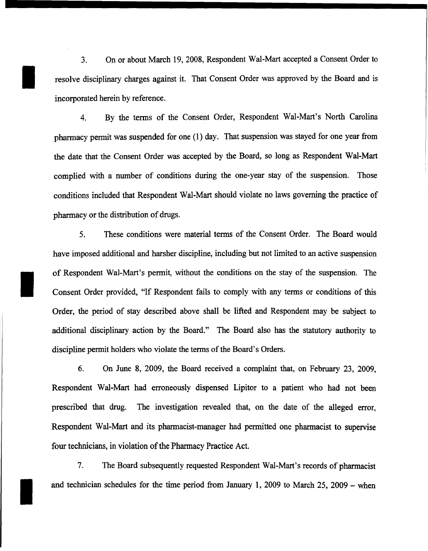3. On or about March 19, 2008, Respondent Wal-Mart accepted a Consent Order to resolve disciplinary charges against it. That Consent Order was approved by the Board and is incorporated herein by reference.

I

I

I

4. By the terms of the Consent Order, Respondent Wal-Mart's North Carolina pharmacy permit was suspended for one (1) day. That suspension was stayed for one year from the date that the Consent Order was accepted by the Board, so long as Respondent Wal-Mart complied with a number of conditions during the one-year stay of the suspension. Those conditions included that Respondent Wal-Mart should violate no laws governing the practice of pharmacy or the distribution of drugs.

5. These conditions were material terms of the Consent Order. The Board would have imposed additional and harsher discipline, including but not limited to an active suspension of Respondent Wal-Mart's permit, without the conditions on the stay of the suspension. The Consent Order provided, "If Respondent fails to comply with any terms or conditions of this Order, the period of stay described above shall be lifted and Respondent may be subject to additional disciplinary action by the Board." The Board also has the statutory authority to discipline permit holders who violate the terms of the Board's Orders.

6. On June 8, 2009, the Board received a complaint that, on February 23, 2009, Respondent Wal-Mart had erroneously dispensed Lipitor to a patient who had not been prescribed that drug. The investigation revealed that, on the date of the alleged error, Respondent Wal-Mart and its pharmacist-manager had permitted one pharmacist to supervise four technicians, in violation of the Pharmacy Practice Act.

7. The Board subsequently requested Respondent Wal-Mart's records of pharmacist and technician schedules for the time period from January 1, 2009 to March 25, 2009 - when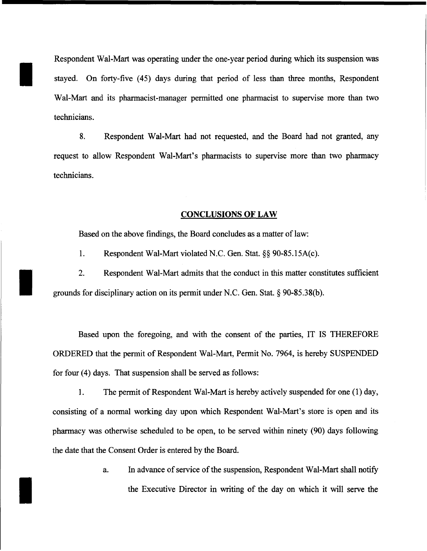Respondent Wal-Mart was operating under the one-year period during which its suspension was stayed. On forty-five (45) days during that period of less than three months, Respondent Wal-Mart and its pharmacist-manager permitted one pharmacist to supervise more than two technicians.

I

I

I

8. Respondent Wal-Mart had not requested, and the Board had not granted, any request to allow Respondent Wal-Mart's pharmacists to supervise more than two pharmacy technicians.

## **CONCLUSIONS OF LAW**

Based on the above findings, the Board concludes as a matter of law:

1. Respondent Wal-Mart violated N.C. Gen. Stat. §§ 90-85.15A(c).

2. Respondent Wal-Mart admits that the conduct in this matter constitutes sufficient grounds for disciplinary action on its permit under N.C. Gen. Stat. § 90-85.38(b).

Based upon the foregoing, and with the consent of the parties, IT IS THEREFORE ORDERED that the permit of Respondent Wal-Mart, Permit No. 7964, is hereby SUSPENDED for four (4) days. That suspension shall be served as follows:

1. The permit of Respondent Wal-Mart is hereby actively suspended for one (1) day, consisting of a normal working day upon which Respondent Wal-Mart's store is open and its pharmacy was otherwise scheduled to be open, to be served within ninety (90) days following the date that the Consent Order is entered by the Board.

> a. In advance of service of the suspension, Respondent Wal-Mart shall notify the Executive Director in writing of the day on which it will serve the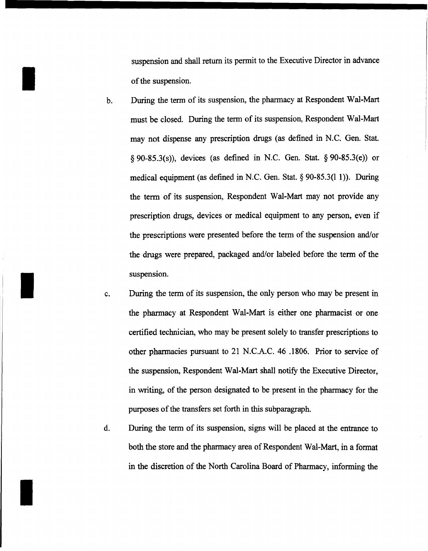suspension and shall return its permit to the Executive Director in advance of the suspension.

I

I

I

- b. During the term of its suspension, the pharmacy at Respondent Wal-Mart must be closed. During the term of its suspension, Respondent Wal-Mart may not dispense any prescription drugs (as defined in N.C. Gen. Stat.  $\S$  90-85.3(s)), devices (as defined in N.C. Gen. Stat.  $\S$  90-85.3(e)) or medical equipment (as defined in N.C. Gen. Stat.  $\S$  90-85.3(11)). During the term of its suspension, Respondent Wal-Mart may not provide any prescription drugs, devices or medical equipment to any person, even if the prescriptions were presented before the term of the suspension and/or the drugs were prepared, packaged and/or labeled before the term of the suspension.
- c. During the term of its suspension, the only person who may be present in the phannacy at Respondent Wal-Mart is either one pharmacist or one certified technician, who may be present solely to transfer prescriptions to other pharmacies pursuant to 21 N.C.A.C. 46 .1806. Prior to service of the suspension, Respondent Wal-Mart shall notify the Executive Director, in writing, of the person designated to be present in the pharmacy for the purposes of the transfers set forth in this subparagraph.
- d. During the term of its suspension, signs will be placed at the entrance to both the store and the pharmacy area of Respondent Wal-Mart, in a format in the discretion of the North Carolina Board of Pharmacy, informing the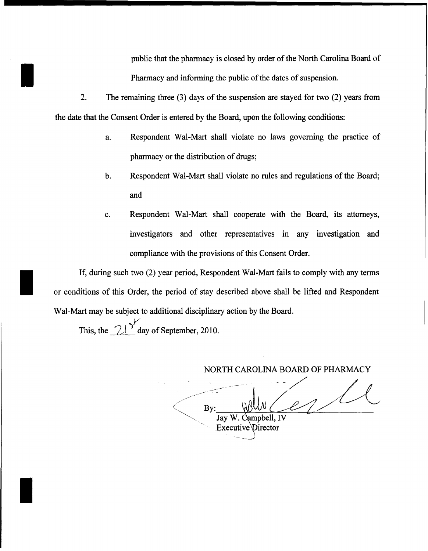public that the pharmacy is closed by order of the North Carolina Board of Pharmacy and informing the public of the dates of suspension.

- 2. The remaining three (3) days of the suspension are stayed for two (2) years from the date that the Consent Order is entered by the Board, upon the following conditions:
	- a. Respondent Wal-Mart shall violate no laws governing the practice of pharmacy or the distribution of drugs;
	- b. Respondent Wal-Mart shall violate no rules and regulations of the Board; and
	- c. Respondent Wal-Mart shall cooperate with the Board, its attorneys, investigators and other representatives in any investigation and compliance with the provisions of this Consent Order.

If, during such two (2) year period, Respondent Wal-Mart fails to comply with any terms<br>or conditions of this Order, the period of stay described above shall be lifted and Respondent or conditions of this Order, the period of stay described above shall be lifted and Respondent Wal-Mart may be subject to additional disciplinary action by the Board.

> *)V* This, the  $2\lambda^{\prime}$  day of September, 2010.

I

I

.~ ----- -- ... --- NORTH CAROLINA BOARD OF PHARMACY  $\bigg\langle$ /~  $B_v:$  when  $\ell$  $\frac{dy}{dx}$  -  $\frac{d^2y}{dx^2}$  ,  $\frac{dy}{dx}$  -  $\frac{dy}{dx}$ Executive Director